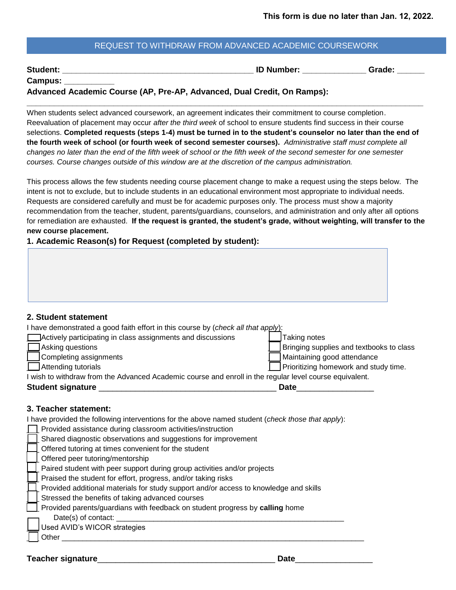# REQUEST TO WITHDRAW FROM ADVANCED ACADEMIC COURSEWORK

| <b>Student:</b> |
|-----------------|
|-----------------|

**Student: Student: Student: Student: Student: Student: Student: Student: Student: Student: Student: Student: Student: Student: Student: Student: Student: Student: Student: Student: S** 

| <b>Campus:</b> |  |
|----------------|--|
|----------------|--|

**Advanced Academic Course (AP, Pre-AP, Advanced, Dual Credit, On Ramps):**

When students select advanced coursework, an agreement indicates their commitment to course completion. Reevaluation of placement may occur *after the third week* of school to ensure students find success in their course selections. **Completed requests (steps 1-4) must be turned in to the student's counselor no later than the end of the fourth week of school (or fourth week of second semester courses).** *Administrative staff must complete all changes no later than the end of the fifth week of school or the fifth week of the second semester for one semester courses. Course changes outside of this window are at the discretion of the campus administration.* 

**\_\_\_\_\_\_\_\_\_\_\_\_\_\_\_\_\_\_\_\_\_\_\_\_\_\_\_\_\_\_\_\_\_\_\_\_\_\_\_\_\_\_\_\_\_\_\_\_\_\_\_\_\_\_\_\_\_\_\_\_\_\_\_\_\_\_\_\_\_\_\_\_\_\_\_\_\_\_\_\_\_\_\_\_\_\_\_**

This process allows the few students needing course placement change to make a request using the steps below. The intent is not to exclude, but to include students in an educational environment most appropriate to individual needs. Requests are considered carefully and must be for academic purposes only. The process must show a majority recommendation from the teacher, student, parents/guardians, counselors, and administration and only after all options for remediation are exhausted. **If the request is granted, the student's grade, without weighting, will transfer to the new course placement.** 

**1. Academic Reason(s) for Request (completed by student):**

|  |  |  |  | 2. Student statement |
|--|--|--|--|----------------------|
|--|--|--|--|----------------------|

| I have demonstrated a good faith effort in this course by ( <i>check all that ap<u>ply)</u></i> : |  |  |
|---------------------------------------------------------------------------------------------------|--|--|
|---------------------------------------------------------------------------------------------------|--|--|

| Actively participating in class assignments and discussions                                             | Taking notes                             |
|---------------------------------------------------------------------------------------------------------|------------------------------------------|
| Asking questions                                                                                        | Bringing supplies and textbooks to class |
| Completing assignments                                                                                  | Maintaining good attendance              |
| $\Box$ Attending tutorials                                                                              | Prioritizing homework and study time.    |
| I wish to withdraw from the Advanced Academic course and enroll in the regular level course equivalent. |                                          |
| <b>Student signature</b>                                                                                | <b>Date</b>                              |

#### **3. Teacher statement:**

I have provided the following interventions for the above named student (*check those that apply*):

| Provided assistance during classroom activities/instruction                           |
|---------------------------------------------------------------------------------------|
| Shared diagnostic observations and suggestions for improvement                        |
| Offered tutoring at times convenient for the student                                  |
| Offered peer tutoring/mentorship                                                      |
| Paired student with peer support during group activities and/or projects              |
| Praised the student for effort, progress, and/or taking risks                         |
| Provided additional materials for study support and/or access to knowledge and skills |
| Stressed the benefits of taking advanced courses                                      |
| Provided parents/guardians with feedback on student progress by calling home          |
| Date(s) of contact:                                                                   |
| Used AVID's WICOR strategies                                                          |
| Other                                                                                 |
|                                                                                       |

#### **Teacher signature**\_\_\_\_\_\_\_\_\_\_\_\_\_\_\_\_\_\_\_\_\_\_\_\_\_\_\_\_\_\_\_\_\_\_\_\_\_\_\_ **Date**\_\_\_\_\_\_\_\_\_\_\_\_\_\_\_\_\_